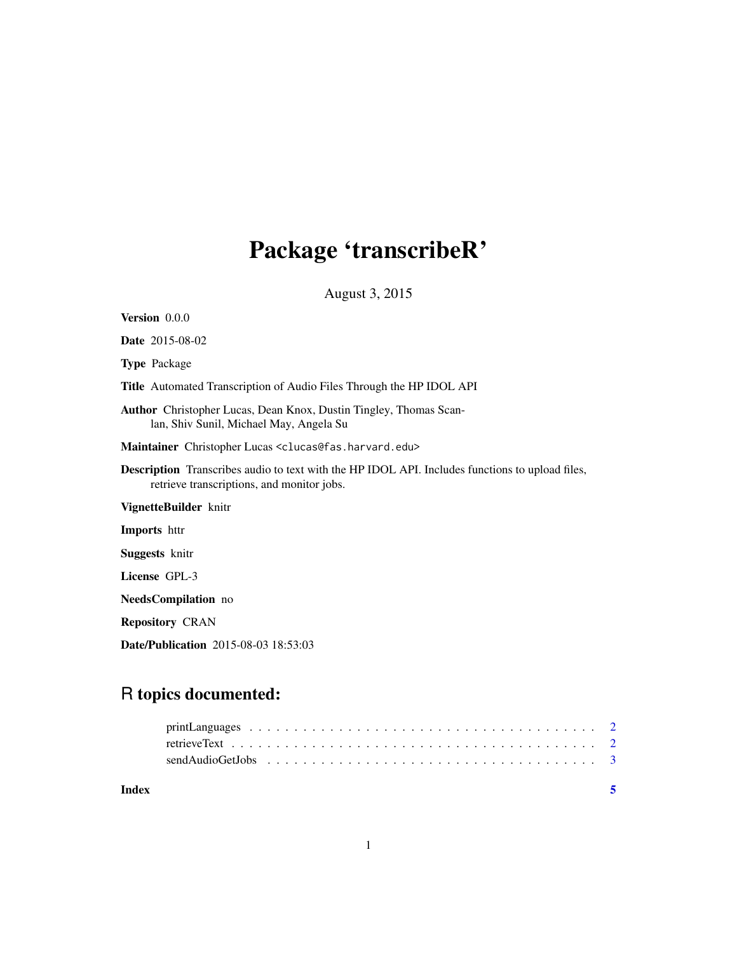## Package 'transcribeR'

August 3, 2015

| <b>Version</b> 0.0.0                                                                                                                                 |
|------------------------------------------------------------------------------------------------------------------------------------------------------|
| <b>Date</b> 2015-08-02                                                                                                                               |
| <b>Type Package</b>                                                                                                                                  |
| <b>Title</b> Automated Transcription of Audio Files Through the HP IDOL API                                                                          |
| <b>Author</b> Christopher Lucas, Dean Knox, Dustin Tingley, Thomas Scan-<br>lan, Shiv Sunil, Michael May, Angela Su                                  |
| Maintainer Christopher Lucas <clucas@fas.harvard.edu></clucas@fas.harvard.edu>                                                                       |
| <b>Description</b> Transcribes audio to text with the HP IDOL API. Includes functions to upload files,<br>retrieve transcriptions, and monitor jobs. |
| VignetteBuilder knitr                                                                                                                                |
| Imports httr                                                                                                                                         |
| <b>Suggests</b> knitr                                                                                                                                |
| License GPL-3                                                                                                                                        |
| NeedsCompilation no                                                                                                                                  |
| <b>Repository CRAN</b>                                                                                                                               |
| <b>Date/Publication</b> 2015-08-03 18:53:03                                                                                                          |

### R topics documented:

| Index |  |  |  | $\sim$ |
|-------|--|--|--|--------|
|       |  |  |  |        |
|       |  |  |  |        |
|       |  |  |  |        |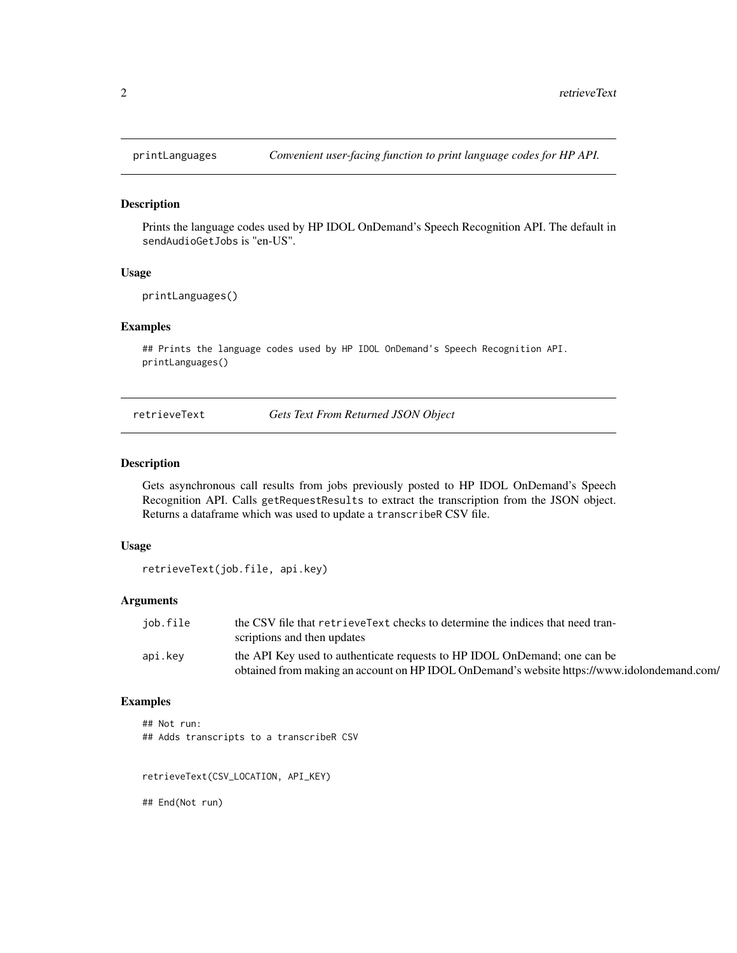<span id="page-1-0"></span>

#### Description

Prints the language codes used by HP IDOL OnDemand's Speech Recognition API. The default in sendAudioGetJobs is "en-US".

#### Usage

```
printLanguages()
```
#### Examples

## Prints the language codes used by HP IDOL OnDemand's Speech Recognition API. printLanguages()

retrieveText *Gets Text From Returned JSON Object*

#### Description

Gets asynchronous call results from jobs previously posted to HP IDOL OnDemand's Speech Recognition API. Calls getRequestResults to extract the transcription from the JSON object. Returns a dataframe which was used to update a transcribeR CSV file.

#### Usage

```
retrieveText(job.file, api.key)
```
#### Arguments

| job.file | the CSV file that retrieve Text checks to determine the indices that need tran-             |
|----------|---------------------------------------------------------------------------------------------|
|          | scriptions and then updates                                                                 |
| api.kev  | the API Key used to authenticate requests to HP IDOL OnDemand; one can be                   |
|          | obtained from making an account on HP IDOL OnDemand's website https://www.idolondemand.com/ |

#### Examples

## Not run: ## Adds transcripts to a transcribeR CSV

retrieveText(CSV\_LOCATION, API\_KEY)

## End(Not run)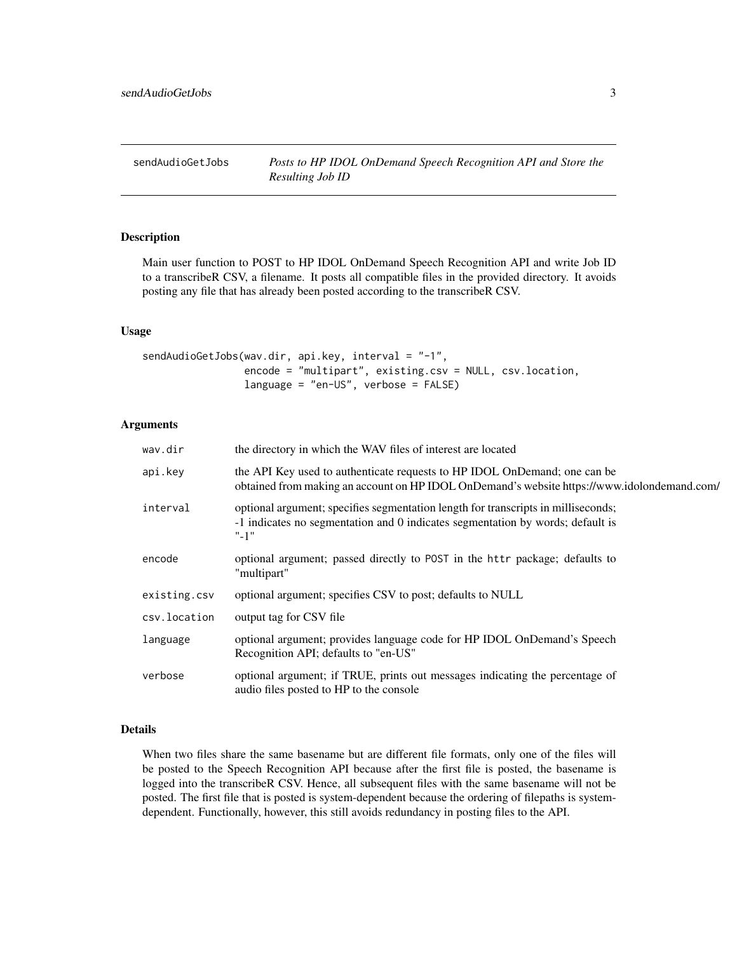<span id="page-2-0"></span>

#### Description

Main user function to POST to HP IDOL OnDemand Speech Recognition API and write Job ID to a transcribeR CSV, a filename. It posts all compatible files in the provided directory. It avoids posting any file that has already been posted according to the transcribeR CSV.

#### Usage

```
sendAudioGetJobs(wav.dir, api.key, interval = "-1",
                 encode = "multipart", existing.csv = NULL, csv.location,
                 language = "en-US", verbose = FALSE)
```
#### Arguments

| wav.dir      | the directory in which the WAV files of interest are located                                                                                                                    |
|--------------|---------------------------------------------------------------------------------------------------------------------------------------------------------------------------------|
| api.key      | the API Key used to authenticate requests to HP IDOL OnDemand; one can be<br>obtained from making an account on HP IDOL OnDemand's website https://www.idolondemand.com/        |
| interval     | optional argument; specifies segmentation length for transcripts in milliseconds;<br>-1 indicates no segmentation and 0 indicates segmentation by words; default is<br>$" - 1"$ |
| encode       | optional argument; passed directly to POST in the httr package; defaults to<br>"multipart"                                                                                      |
| existing.csv | optional argument; specifies CSV to post; defaults to NULL                                                                                                                      |
| csv.location | output tag for CSV file                                                                                                                                                         |
| language     | optional argument; provides language code for HP IDOL OnDemand's Speech<br>Recognition API; defaults to "en-US"                                                                 |
| verbose      | optional argument; if TRUE, prints out messages indicating the percentage of<br>audio files posted to HP to the console                                                         |
|              |                                                                                                                                                                                 |

#### Details

When two files share the same basename but are different file formats, only one of the files will be posted to the Speech Recognition API because after the first file is posted, the basename is logged into the transcribeR CSV. Hence, all subsequent files with the same basename will not be posted. The first file that is posted is system-dependent because the ordering of filepaths is systemdependent. Functionally, however, this still avoids redundancy in posting files to the API.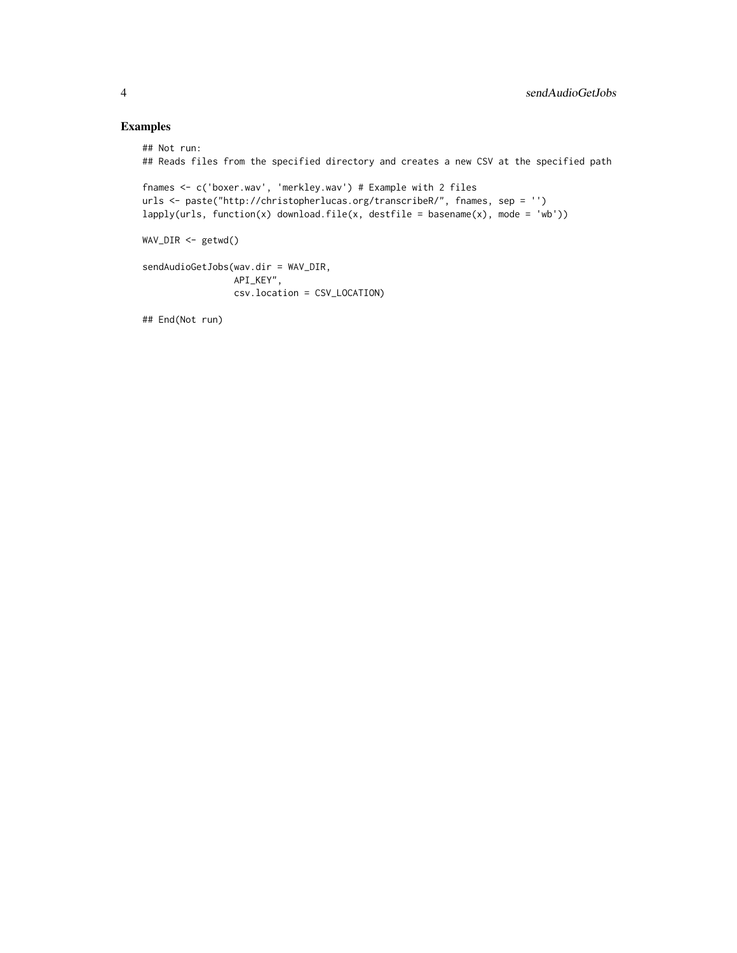#### Examples

```
## Not run:
## Reads files from the specified directory and creates a new CSV at the specified path
fnames <- c('boxer.wav', 'merkley.wav') # Example with 2 files
urls <- paste("http://christopherlucas.org/transcribeR/", fnames, sep = '')
lapply(urls, function(x) download.file(x, destfile = basename(x), mode = 'wb'))
WAV_DIR <- getwd()
sendAudioGetJobs(wav.dir = WAV_DIR,
                 API_KEY",
                 csv.location = CSV_LOCATION)
```
## End(Not run)